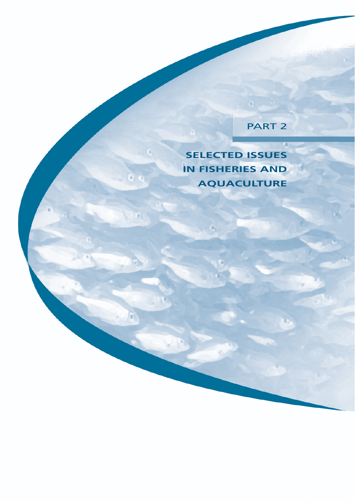# PART 2

D.

W.

**SELECTED ISSUES IN FISHERIES AND AQUACULTURE**

B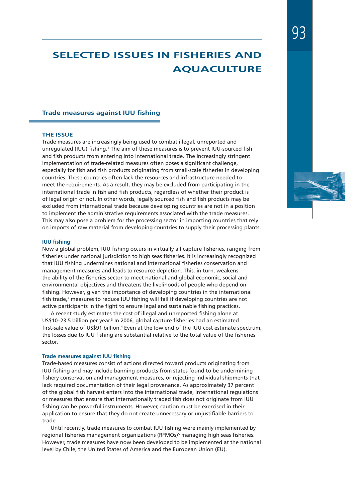# **SELECTED ISSUES IN FISHERIES AND AQUACULTURE**

# **Trade measures against IUU fishing**

#### **THE ISSUE**

Trade measures are increasingly being used to combat illegal, unreported and unregulated (IUU) fishing.<sup>1</sup> The aim of these measures is to prevent IUU-sourced fish and fish products from entering into international trade. The increasingly stringent implementation of trade-related measures often poses a significant challenge, especially for fish and fish products originating from small-scale fisheries in developing countries. These countries often lack the resources and infrastructure needed to meet the requirements. As a result, they may be excluded from participating in the international trade in fish and fish products, regardless of whether their product is of legal origin or not. In other words, legally sourced fish and fish products may be excluded from international trade because developing countries are not in a position to implement the administrative requirements associated with the trade measures. This may also pose a problem for the processing sector in importing countries that rely on imports of raw material from developing countries to supply their processing plants.

#### **IUU fishing**

Now a global problem, IUU fishing occurs in virtually all capture fisheries, ranging from fisheries under national jurisdiction to high seas fisheries. It is increasingly recognized that IUU fishing undermines national and international fisheries conservation and management measures and leads to resource depletion. This, in turn, weakens the ability of the fisheries sector to meet national and global economic, social and environmental objectives and threatens the livelihoods of people who depend on fishing. However, given the importance of developing countries in the international fish trade,<sup>2</sup> measures to reduce IUU fishing will fail if developing countries are not active participants in the fight to ensure legal and sustainable fishing practices.

A recent study estimates the cost of illegal and unreported fishing alone at US\$10-23.5 billion per year.<sup>3</sup> In 2006, global capture fisheries had an estimated first-sale value of US\$91 billion.<sup>4</sup> Even at the low end of the IUU cost estimate spectrum, the losses due to IUU fishing are substantial relative to the total value of the fisheries sector.

#### **Trade measures against IUU fishing**

Trade-based measures consist of actions directed toward products originating from IUU fishing and may include banning products from states found to be undermining fishery conservation and management measures, or rejecting individual shipments that lack required documentation of their legal provenance. As approximately 37 percent of the global fish harvest enters into the international trade, international regulations or measures that ensure that internationally traded fish does not originate from IUU fishing can be powerful instruments. However, caution must be exercised in their application to ensure that they do not create unnecessary or unjustifiable barriers to trade.

Until recently, trade measures to combat IUU fishing were mainly implemented by regional fisheries management organizations (RFMOs)<sup>5</sup> managing high seas fisheries. However, trade measures have now been developed to be implemented at the national level by Chile, the United States of America and the European Union (EU).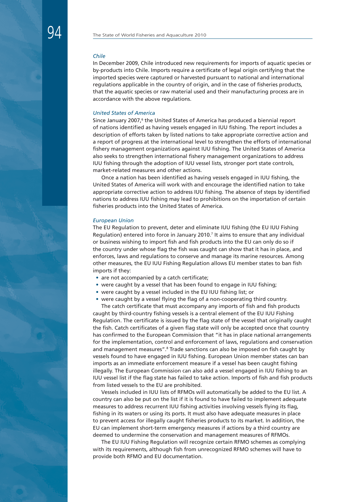#### *Chile*

In December 2009, Chile introduced new requirements for imports of aquatic species or by-products into Chile. Imports require a certificate of legal origin certifying that the imported species were captured or harvested pursuant to national and international regulations applicable in the country of origin, and in the case of fisheries products, that the aquatic species or raw material used and their manufacturing process are in accordance with the above regulations.

#### *United States of America*

Since January 2007,<sup>6</sup> the United States of America has produced a biennial report of nations identified as having vessels engaged in IUU fishing. The report includes a description of efforts taken by listed nations to take appropriate corrective action and a report of progress at the international level to strengthen the efforts of international fishery management organizations against IUU fishing. The United States of America also seeks to strengthen international fishery management organizations to address IUU fishing through the adoption of IUU vessel lists, stronger port state controls, market-related measures and other actions.

Once a nation has been identified as having vessels engaged in IUU fishing, the United States of America will work with and encourage the identified nation to take appropriate corrective action to address IUU fishing. The absence of steps by identified nations to address IUU fishing may lead to prohibitions on the importation of certain fisheries products into the United States of America.

#### *European Union*

The EU Regulation to prevent, deter and eliminate IUU fishing (the EU IUU Fishing Regulation) entered into force in January 2010.<sup>7</sup> It aims to ensure that any individual or business wishing to import fish and fish products into the EU can only do so if the country under whose flag the fish was caught can show that it has in place, and enforces, laws and regulations to conserve and manage its marine resources. Among other measures, the EU IUU Fishing Regulation allows EU member states to ban fish imports if they:

- are not accompanied by a catch certificate;
- were caught by a vessel that has been found to engage in IUU fishing;
- were caught by a vessel included in the EU IUU fishing list; or
- were caught by a vessel flying the flag of a non-cooperating third country.

The catch certificate that must accompany any imports of fish and fish products caught by third-country fishing vessels is a central element of the EU IUU Fishing Regulation. The certificate is issued by the flag state of the vessel that originally caught the fish. Catch certificates of a given flag state will only be accepted once that country has confirmed to the European Commission that "it has in place national arrangements for the implementation, control and enforcement of laws, regulations and conservation and management measures".<sup>8</sup> Trade sanctions can also be imposed on fish caught by vessels found to have engaged in IUU fishing. European Union member states can ban imports as an immediate enforcement measure if a vessel has been caught fishing illegally. The European Commission can also add a vessel engaged in IUU fishing to an IUU vessel list if the flag state has failed to take action. Imports of fish and fish products from listed vessels to the EU are prohibited.

Vessels included in IUU lists of RFMOs will automatically be added to the EU list. A country can also be put on the list if it is found to have failed to implement adequate measures to address recurrent IUU fishing activities involving vessels flying its flag, fishing in its waters or using its ports. It must also have adequate measures in place to prevent access for illegally caught fisheries products to its market. In addition, the EU can implement short-term emergency measures if actions by a third country are deemed to undermine the conservation and management measures of RFMOs.

The EU IUU Fishing Regulation will recognize certain RFMO schemes as complying with its requirements, although fish from unrecognized RFMO schemes will have to provide both RFMO and EU documentation.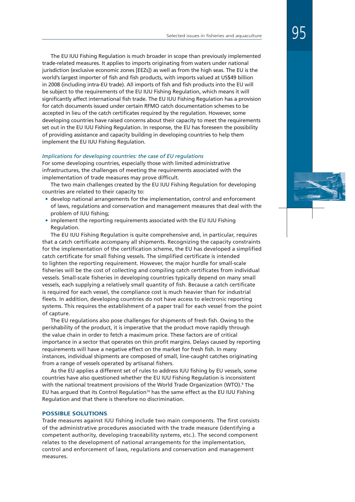The EU IUU Fishing Regulation is much broader in scope than previously implemented trade-related measures. It applies to imports originating from waters under national jurisdiction (exclusive economic zones [EEZs]) as well as from the high seas. The EU is the world's largest importer of fish and fish products, with imports valued at US\$49 billion in 2008 (including intra-EU trade). All imports of fish and fish products into the EU will be subject to the requirements of the EU IUU Fishing Regulation, which means it will significantly affect international fish trade. The EU IUU Fishing Regulation has a provision for catch documents issued under certain RFMO catch documentation schemes to be accepted in lieu of the catch certificates required by the regulation. However, some developing countries have raised concerns about their capacity to meet the requirements set out in the EU IUU Fishing Regulation. In response, the EU has foreseen the possibility of providing assistance and capacity building in developing countries to help them implement the EU IUU Fishing Regulation.

#### *Implications for developing countries: the case of EU regulations*

For some developing countries, especially those with limited administrative infrastructures, the challenges of meeting the requirements associated with the implementation of trade measures may prove difficult.

The two main challenges created by the EU IUU Fishing Regulation for developing countries are related to their capacity to:

- develop national arrangements for the implementation, control and enforcement of laws, regulations and conservation and management measures that deal with the problem of IUU fishing;
- implement the reporting requirements associated with the EU IUU Fishing Regulation.

The EU IUU Fishing Regulation is quite comprehensive and, in particular, requires that a catch certificate accompany all shipments. Recognizing the capacity constraints for the implementation of the certification scheme, the EU has developed a simplified catch certificate for small fishing vessels. The simplified certificate is intended to lighten the reporting requirement. However, the major hurdle for small-scale fisheries will be the cost of collecting and compiling catch certificates from individual vessels. Small-scale fisheries in developing countries typically depend on many small vessels, each supplying a relatively small quantity of fish. Because a catch certificate is required for each vessel, the compliance cost is much heavier than for industrial fleets. In addition, developing countries do not have access to electronic reporting systems. This requires the establishment of a paper trail for each vessel from the point of capture.

The EU regulations also pose challenges for shipments of fresh fish. Owing to the perishability of the product, it is imperative that the product move rapidly through the value chain in order to fetch a maximum price. These factors are of critical importance in a sector that operates on thin profit margins. Delays caused by reporting requirements will have a negative effect on the market for fresh fish. In many instances, individual shipments are composed of small, line-caught catches originating from a range of vessels operated by artisanal fishers.

As the EU applies a different set of rules to address IUU fishing by EU vessels, some countries have also questioned whether the EU IUU Fishing Regulation is inconsistent with the national treatment provisions of the World Trade Organization (WTO).<sup>9</sup> The EU has argued that its Control Regulation<sup>10</sup> has the same effect as the EU IUU Fishing Regulation and that there is therefore no discrimination.

### **POSSIBLE SOLUTIONS**

Trade measures against IUU fishing include two main components. The first consists of the administrative procedures associated with the trade measure (identifying a competent authority, developing traceability systems, etc.). The second component relates to the development of national arrangements for the implementation, control and enforcement of laws, regulations and conservation and management measures.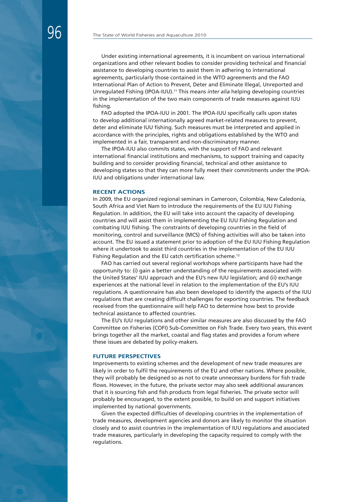Under existing international agreements, it is incumbent on various international organizations and other relevant bodies to consider providing technical and financial assistance to developing countries to assist them in adhering to international agreements, particularly those contained in the WTO agreements and the FAO International Plan of Action to Prevent, Deter and Eliminate Illegal, Unreported and Unregulated Fishing (IPOA-IUU).11 This means *inter alia* helping developing countries in the implementation of the two main components of trade measures against IUU fishing.

FAO adopted the IPOA-IUU in 2001. The IPOA-IUU specifically calls upon states to develop additional internationally agreed market-related measures to prevent, deter and eliminate IUU fishing. Such measures must be interpreted and applied in accordance with the principles, rights and obligations established by the WTO and implemented in a fair, transparent and non-discriminatory manner.

The IPOA-IUU also commits states, with the support of FAO and relevant international financial institutions and mechanisms, to support training and capacity building and to consider providing financial, technical and other assistance to developing states so that they can more fully meet their commitments under the IPOA-IUU and obligations under international law.

#### **RECENT ACTIONS**

In 2009, the EU organized regional seminars in Cameroon, Colombia, New Caledonia, South Africa and Viet Nam to introduce the requirements of the EU IUU Fishing Regulation. In addition, the EU will take into account the capacity of developing countries and will assist them in implementing the EU IUU Fishing Regulation and combating IUU fishing. The constraints of developing countries in the field of monitoring, control and surveillance (MCS) of fishing activities will also be taken into account. The EU issued a statement prior to adoption of the EU IUU Fishing Regulation where it undertook to assist third countries in the implementation of the EU IUU Fishing Regulation and the EU catch certification scheme.12

FAO has carried out several regional workshops where participants have had the opportunity to: (i) gain a better understanding of the requirements associated with the United States' IUU approach and the EU's new IUU legislation; and (ii) exchange experiences at the national level in relation to the implementation of the EU's IUU regulations. A questionnaire has also been developed to identify the aspects of the IUU regulations that are creating difficult challenges for exporting countries. The feedback received from the questionnaire will help FAO to determine how best to provide technical assistance to affected countries.

The EU's IUU regulations and other similar measures are also discussed by the FAO Committee on Fisheries (COFI) Sub-Committee on Fish Trade. Every two years, this event brings together all the market, coastal and flag states and provides a forum where these issues are debated by policy-makers.

# **FUTURE PERSPECTIVES**

Improvements to existing schemes and the development of new trade measures are likely in order to fulfil the requirements of the EU and other nations. Where possible, they will probably be designed so as not to create unnecessary burdens for fish trade flows. However, in the future, the private sector may also seek additional assurances that it is sourcing fish and fish products from legal fisheries. The private sector will probably be encouraged, to the extent possible, to build on and support initiatives implemented by national governments.

Given the expected difficulties of developing countries in the implementation of trade measures, development agencies and donors are likely to monitor the situation closely and to assist countries in the implementation of IUU regulations and associated trade measures, particularly in developing the capacity required to comply with the regulations.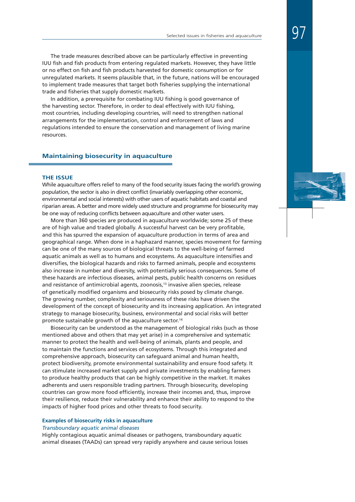The trade measures described above can be particularly effective in preventing IUU fish and fish products from entering regulated markets. However, they have little or no effect on fish and fish products harvested for domestic consumption or for unregulated markets. It seems plausible that, in the future, nations will be encouraged to implement trade measures that target both fisheries supplying the international trade and fisheries that supply domestic markets.

In addition, a prerequisite for combating IUU fishing is good governance of the harvesting sector. Therefore, in order to deal effectively with IUU fishing, most countries, including developing countries, will need to strengthen national arrangements for the implementation, control and enforcement of laws and regulations intended to ensure the conservation and management of living marine resources.

# **Maintaining biosecurity in aquaculture**

#### **THE ISSUE**

While aquaculture offers relief to many of the food security issues facing the world's growing population, the sector is also in direct conflict (invariably overlapping other economic, environmental and social interests) with other users of aquatic habitats and coastal and riparian areas. A better and more widely used structure and programme for biosecurity may be one way of reducing conflicts between aquaculture and other water users.

More than 360 species are produced in aquaculture worldwide; some 25 of these are of high value and traded globally. A successful harvest can be very profitable, and this has spurred the expansion of aquaculture production in terms of area and geographical range. When done in a haphazard manner, species movement for farming can be one of the many sources of biological threats to the well-being of farmed aquatic animals as well as to humans and ecosystems. As aquaculture intensifies and diversifies, the biological hazards and risks to farmed animals, people and ecosystems also increase in number and diversity, with potentially serious consequences. Some of these hazards are infectious diseases, animal pests, public health concerns on residues and resistance of antimicrobial agents, zoonosis,<sup>13</sup> invasive alien species, release of genetically modified organisms and biosecurity risks posed by climate change. The growing number, complexity and seriousness of these risks have driven the development of the concept of biosecurity and its increasing application. An integrated strategy to manage biosecurity, business, environmental and social risks will better promote sustainable growth of the aquaculture sector.<sup>14</sup>

Biosecurity can be understood as the management of biological risks (such as those mentioned above and others that may yet arise) in a comprehensive and systematic manner to protect the health and well-being of animals, plants and people, and to maintain the functions and services of ecosystems. Through this integrated and comprehensive approach, biosecurity can safeguard animal and human health, protect biodiversity, promote environmental sustainability and ensure food safety. It can stimulate increased market supply and private investments by enabling farmers to produce healthy products that can be highly competitive in the market. It makes adherents and users responsible trading partners. Through biosecurity, developing countries can grow more food efficiently, increase their incomes and, thus, improve their resilience, reduce their vulnerability and enhance their ability to respond to the impacts of higher food prices and other threats to food security.

# **Examples of biosecurity risks in aquaculture**

#### *Transboundary aquatic animal diseases*

Highly contagious aquatic animal diseases or pathogens, transboundary aquatic animal diseases (TAADs) can spread very rapidly anywhere and cause serious losses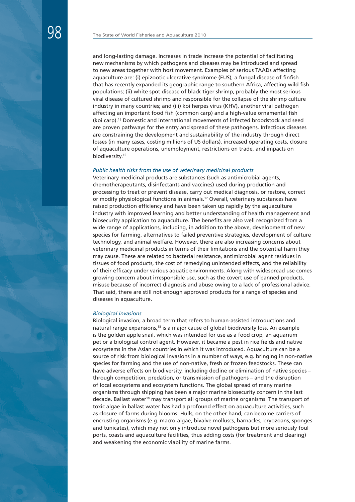and long-lasting damage. Increases in trade increase the potential of facilitating new mechanisms by which pathogens and diseases may be introduced and spread to new areas together with host movement. Examples of serious TAADs affecting aquaculture are: (i) epizootic ulcerative syndrome (EUS), a fungal disease of finfish that has recently expanded its geographic range to southern Africa, affecting wild fish populations; (ii) white spot disease of black tiger shrimp, probably the most serious viral disease of cultured shrimp and responsible for the collapse of the shrimp culture industry in many countries; and (iii) koi herpes virus (KHV), another viral pathogen affecting an important food fish (common carp) and a high-value ornamental fish (koi carp).15 Domestic and international movements of infected broodstock and seed are proven pathways for the entry and spread of these pathogens. Infectious diseases are constraining the development and sustainability of the industry through direct losses (in many cases, costing millions of US dollars), increased operating costs, closure of aquaculture operations, unemployment, restrictions on trade, and impacts on biodiversity.<sup>16</sup>

#### *Public health risks from the use of veterinary medicinal products*

Veterinary medicinal products are substances (such as antimicrobial agents, chemotherapeutants, disinfectants and vaccines) used during production and processing to treat or prevent disease, carry out medical diagnosis, or restore, correct or modify physiological functions in animals.17 Overall, veterinary substances have raised production efficiency and have been taken up rapidly by the aquaculture industry with improved learning and better understanding of health management and biosecurity application to aquaculture. The benefits are also well recognized from a wide range of applications, including, in addition to the above, development of new species for farming, alternatives to failed preventive strategies, development of culture technology, and animal welfare. However, there are also increasing concerns about veterinary medicinal products in terms of their limitations and the potential harm they may cause. These are related to bacterial resistance, antimicrobial agent residues in tissues of food products, the cost of remedying unintended effects, and the reliability of their efficacy under various aquatic environments. Along with widespread use comes growing concern about irresponsible use, such as the covert use of banned products, misuse because of incorrect diagnosis and abuse owing to a lack of professional advice. That said, there are still not enough approved products for a range of species and diseases in aquaculture.

#### *Biological invasions*

Biological invasion, a broad term that refers to human-assisted introductions and natural range expansions,18 is a major cause of global biodiversity loss. An example is the golden apple snail, which was intended for use as a food crop, an aquarium pet or a biological control agent. However, it became a pest in rice fields and native ecosystems in the Asian countries in which it was introduced. Aquaculture can be a source of risk from biological invasions in a number of ways, e.g. bringing in non-native species for farming and the use of non-native, fresh or frozen feedstocks. These can have adverse effects on biodiversity, including decline or elimination of native species through competition, predation, or transmission of pathogens – and the disruption of local ecosystems and ecosystem functions. The global spread of many marine organisms through shipping has been a major marine biosecurity concern in the last decade. Ballast water<sup>19</sup> may transport all groups of marine organisms. The transport of toxic algae in ballast water has had a profound effect on aquaculture activities, such as closure of farms during blooms. Hulls, on the other hand, can become carriers of encrusting organisms (e.g. macro-algae, bivalve molluscs, barnacles, bryozoans, sponges and tunicates), which may not only introduce novel pathogens but more seriously foul ports, coasts and aquaculture facilities, thus adding costs (for treatment and clearing) and weakening the economic viability of marine farms.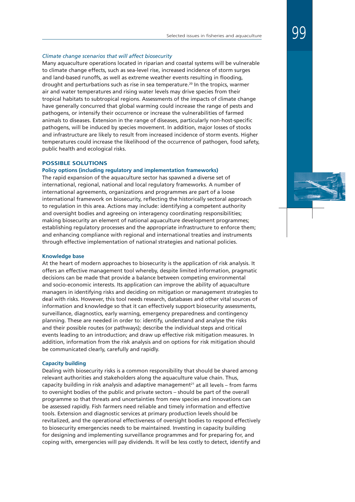#### *Climate change scenarios that will affect biosecurity*

Many aquaculture operations located in riparian and coastal systems will be vulnerable to climate change effects, such as sea-level rise, increased incidence of storm surges and land-based runoffs, as well as extreme weather events resulting in flooding, drought and perturbations such as rise in sea temperature.20 In the tropics, warmer air and water temperatures and rising water levels may drive species from their tropical habitats to subtropical regions. Assessments of the impacts of climate change have generally concurred that global warming could increase the range of pests and pathogens, or intensify their occurrence or increase the vulnerabilities of farmed animals to diseases. Extension in the range of diseases, particularly non-host-specific pathogens, will be induced by species movement. In addition, major losses of stocks and infrastructure are likely to result from increased incidence of storm events. Higher temperatures could increase the likelihood of the occurrence of pathogen, food safety, public health and ecological risks.

#### **POSSIBLE SOLUTIONS**

#### **Policy options (including regulatory and implementation frameworks)**

The rapid expansion of the aquaculture sector has spawned a diverse set of international, regional, national and local regulatory frameworks. A number of international agreements, organizations and programmes are part of a loose international framework on biosecurity, reflecting the historically sectoral approach to regulation in this area. Actions may include: identifying a competent authority and oversight bodies and agreeing on interagency coordinating responsibilities; making biosecurity an element of national aquaculture development programmes; establishing regulatory processes and the appropriate infrastructure to enforce them; and enhancing compliance with regional and international treaties and instruments through effective implementation of national strategies and national policies.

#### **Knowledge base**

At the heart of modern approaches to biosecurity is the application of risk analysis. It offers an effective management tool whereby, despite limited information, pragmatic decisions can be made that provide a balance between competing environmental and socio-economic interests. Its application can improve the ability of aquaculture managers in identifying risks and deciding on mitigation or management strategies to deal with risks. However, this tool needs research, databases and other vital sources of information and knowledge so that it can effectively support biosecurity assessments, surveillance, diagnostics, early warning, emergency preparedness and contingency planning. These are needed in order to: identify, understand and analyse the risks and their possible routes (or pathways); describe the individual steps and critical events leading to an introduction; and draw up effective risk mitigation measures. In addition, information from the risk analysis and on options for risk mitigation should be communicated clearly, carefully and rapidly.

#### **Capacity building**

Dealing with biosecurity risks is a common responsibility that should be shared among relevant authorities and stakeholders along the aquaculture value chain. Thus, capacity building in risk analysis and adaptive management<sup>21</sup> at all levels – from farms to oversight bodies of the public and private sectors – should be part of the overall programme so that threats and uncertainties from new species and innovations can be assessed rapidly. Fish farmers need reliable and timely information and effective tools. Extension and diagnostic services at primary production levels should be revitalized, and the operational effectiveness of oversight bodies to respond effectively to biosecurity emergencies needs to be maintained. Investing in capacity building for designing and implementing surveillance programmes and for preparing for, and coping with, emergencies will pay dividends. It will be less costly to detect, identify and

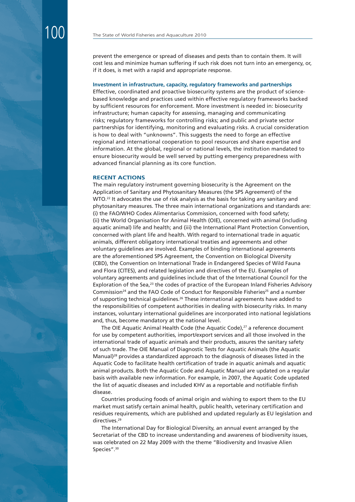prevent the emergence or spread of diseases and pests than to contain them. It will cost less and minimize human suffering if such risk does not turn into an emergency, or, if it does, is met with a rapid and appropriate response.

#### **Investment in infrastructure, capacity, regulatory frameworks and partnerships**

Effective, coordinated and proactive biosecurity systems are the product of sciencebased knowledge and practices used within effective regulatory frameworks backed by sufficient resources for enforcement. More investment is needed in: biosecurity infrastructure; human capacity for assessing, managing and communicating risks; regulatory frameworks for controlling risks; and public and private sector partnerships for identifying, monitoring and evaluating risks. A crucial consideration is how to deal with "unknowns". This suggests the need to forge an effective regional and international cooperation to pool resources and share expertise and information. At the global, regional or national levels, the institution mandated to ensure biosecurity would be well served by putting emergency preparedness with advanced financial planning as its core function.

#### **RECENT ACTIONS**

The main regulatory instrument governing biosecurity is the Agreement on the Application of Sanitary and Phytosanitary Measures (the SPS Agreement) of the WTO.<sup>22</sup> It advocates the use of risk analysis as the basis for taking any sanitary and phytosanitary measures. The three main international organizations and standards are: (i) the FAO/WHO Codex Alimentarius Commission, concerned with food safety; (ii) the World Organisation for Animal Health (OIE), concerned with animal (including aquatic animal) life and health; and (iii) the International Plant Protection Convention, concerned with plant life and health. With regard to international trade in aquatic animals, different obligatory international treaties and agreements and other voluntary guidelines are involved. Examples of binding international agreements are the aforementioned SPS Agreement, the Convention on Biological Diversity (CBD), the Convention on International Trade in Endangered Species of Wild Fauna and Flora (CITES), and related legislation and directives of the EU. Examples of voluntary agreements and guidelines include that of the International Council for the Exploration of the Sea, $^{23}$  the codes of practice of the European Inland Fisheries Advisory Commission<sup>24</sup> and the FAO Code of Conduct for Responsible Fisheries<sup>25</sup> and a number of supporting technical guidelines.26 These international agreements have added to the responsibilities of competent authorities in dealing with biosecurity risks. In many instances, voluntary international guidelines are incorporated into national legislations and, thus, become mandatory at the national level.

The OIE Aquatic Animal Health Code (the Aquatic Code), $27$  a reference document for use by competent authorities, import/export services and all those involved in the international trade of aquatic animals and their products, assures the sanitary safety of such trade. The OIE Manual of Diagnostic Tests for Aquatic Animals (the Aquatic Manual)28 provides a standardized approach to the diagnosis of diseases listed in the Aquatic Code to facilitate health certification of trade in aquatic animals and aquatic animal products. Both the Aquatic Code and Aquatic Manual are updated on a regular basis with available new information. For example, in 2007, the Aquatic Code updated the list of aquatic diseases and included KHV as a reportable and notifiable finfish disease.

Countries producing foods of animal origin and wishing to export them to the EU market must satisfy certain animal health, public health, veterinary certification and residues requirements, which are published and updated regularly as EU legislation and directives.<sup>29</sup>

The International Day for Biological Diversity, an annual event arranged by the Secretariat of the CBD to increase understanding and awareness of biodiversity issues, was celebrated on 22 May 2009 with the theme "Biodiversity and Invasive Alien Species".<sup>30</sup>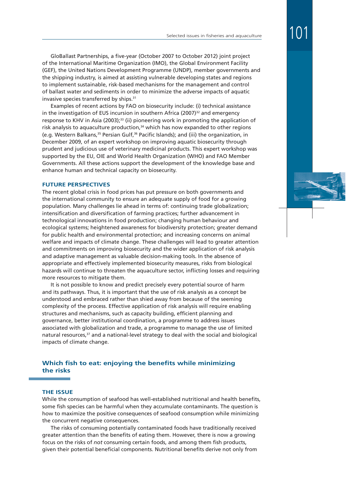GloBallast Partnerships, a five-year (October 2007 to October 2012) joint project of the International Maritime Organization (IMO), the Global Environment Facility (GEF), the United Nations Development Programme (UNDP), member governments and the shipping industry, is aimed at assisting vulnerable developing states and regions to implement sustainable, risk-based mechanisms for the management and control of ballast water and sediments in order to minimize the adverse impacts of aquatic invasive species transferred by ships.<sup>31</sup>

Examples of recent actions by FAO on biosecurity include: (i) technical assistance in the investigation of EUS incursion in southern Africa (2007)<sup>32</sup> and emergency response to KHV in Asia (2003);<sup>33</sup> (ii) pioneering work in promoting the application of risk analysis to aquaculture production, $34$  which has now expanded to other regions (e.g. Western Balkans,35 Persian Gulf,36 Pacific Islands); and (iii) the organization, in December 2009, of an expert workshop on improving aquatic biosecurity through prudent and judicious use of veterinary medicinal products. This expert workshop was supported by the EU, OIE and World Health Organization (WHO) and FAO Member Governments. All these actions support the development of the knowledge base and enhance human and technical capacity on biosecurity.

#### **FUTURE PERSPECTIVES**

The recent global crisis in food prices has put pressure on both governments and the international community to ensure an adequate supply of food for a growing population. Many challenges lie ahead in terms of: continuing trade globalization; intensification and diversification of farming practices; further advancement in technological innovations in food production; changing human behaviour and ecological systems; heightened awareness for biodiversity protection; greater demand for public health and environmental protection; and increasing concerns on animal welfare and impacts of climate change. These challenges will lead to greater attention and commitments on improving biosecurity and the wider application of risk analysis and adaptive management as valuable decision-making tools. In the absence of appropriate and effectively implemented biosecurity measures, risks from biological hazards will continue to threaten the aquaculture sector, inflicting losses and requiring more resources to mitigate them.

It is not possible to know and predict precisely every potential source of harm and its pathways. Thus, it is important that the use of risk analysis as a concept be understood and embraced rather than shied away from because of the seeming complexity of the process. Effective application of risk analysis will require enabling structures and mechanisms, such as capacity building, efficient planning and governance, better institutional coordination, a programme to address issues associated with globalization and trade, a programme to manage the use of limited natural resources,<sup>37</sup> and a national-level strategy to deal with the social and biological impacts of climate change.

# **Which fish to eat: enjoying the benefits while minimizing the risks**

#### **THE ISSUE**

While the consumption of seafood has well-established nutritional and health benefits, some fish species can be harmful when they accumulate contaminants. The question is how to maximize the positive consequences of seafood consumption while minimizing the concurrent negative consequences.

The risks of consuming potentially contaminated foods have traditionally received greater attention than the benefits of eating them. However, there is now a growing focus on the risks of *not* consuming certain foods, and among them fish products, given their potential beneficial components. Nutritional benefits derive not only from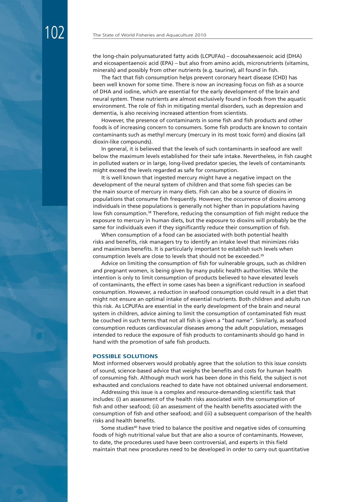the long-chain polyunsaturated fatty acids (LCPUFAs) – docosahexaenoic acid (DHA) and eicosapentaenoic acid (EPA) – but also from amino acids, micronutrients (vitamins, minerals) and possibly from other nutrients (e.g. taurine), all found in fish.

The fact that fish consumption helps prevent coronary heart disease (CHD) has been well known for some time. There is now an increasing focus on fish as a source of DHA and iodine, which are essential for the early development of the brain and neural system. These nutrients are almost exclusively found in foods from the aquatic environment. The role of fish in mitigating mental disorders, such as depression and dementia, is also receiving increased attention from scientists.

However, the presence of contaminants in some fish and fish products and other foods is of increasing concern to consumers. Some fish products are known to contain contaminants such as methyl mercury (mercury in its most toxic form) and dioxins (all dioxin-like compounds).

In general, it is believed that the levels of such contaminants in seafood are well below the maximum levels established for their safe intake. Nevertheless, in fish caught in polluted waters or in large, long-lived predator species, the levels of contaminants might exceed the levels regarded as safe for consumption.

It is well known that ingested mercury might have a negative impact on the development of the neural system of children and that some fish species can be the main source of mercury in many diets. Fish can also be a source of dioxins in populations that consume fish frequently. However, the occurrence of dioxins among individuals in these populations is generally not higher than in populations having low fish consumption.<sup>38</sup> Therefore, reducing the consumption of fish might reduce the exposure to mercury in human diets, but the exposure to dioxins will probably be the same for individuals even if they significantly reduce their consumption of fish.

When consumption of a food can be associated with both potential health risks and benefits, risk managers try to identify an intake level that minimizes risks and maximizes benefits. It is particularly important to establish such levels when consumption levels are close to levels that should not be exceeded.39

Advice on limiting the consumption of fish for vulnerable groups, such as children and pregnant women, is being given by many public health authorities. While the intention is only to limit consumption of products believed to have elevated levels of contaminants, the effect in some cases has been a significant reduction in seafood consumption. However, a reduction in seafood consumption could result in a diet that might not ensure an optimal intake of essential nutrients. Both children and adults run this risk. As LCPUFAs are essential in the early development of the brain and neural system in children, advice aiming to limit the consumption of contaminated fish must be couched in such terms that not all fish is given a "bad name". Similarly, as seafood consumption reduces cardiovascular diseases among the adult population, messages intended to reduce the exposure of fish products to contaminants should go hand in hand with the promotion of safe fish products.

# **POSSIBLE SOLUTIONS**

Most informed observers would probably agree that the solution to this issue consists of sound, science-based advice that weighs the benefits and costs for human health of consuming fish. Although much work has been done in this field, the subject is not exhausted and conclusions reached to date have not obtained universal endorsement.

Addressing this issue is a complex and resource-demanding scientific task that includes: (i) an assessment of the health risks associated with the consumption of fish and other seafood; (ii) an assessment of the health benefits associated with the consumption of fish and other seafood; and (iii) a subsequent comparison of the health risks and health benefits.

Some studies<sup>40</sup> have tried to balance the positive and negative sides of consuming foods of high nutritional value but that are also a source of contaminants. However, to date, the procedures used have been controversial, and experts in this field maintain that new procedures need to be developed in order to carry out quantitative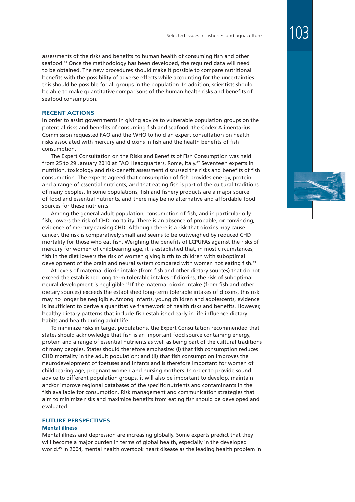assessments of the risks and benefits to human health of consuming fish and other seafood.41 Once the methodology has been developed, the required data will need to be obtained. The new procedures should make it possible to compare nutritional benefits with the possibility of adverse effects while accounting for the uncertainties – this should be possible for all groups in the population. In addition, scientists should be able to make quantitative comparisons of the human health risks and benefits of seafood consumption.

#### **RECENT ACTIONS**

In order to assist governments in giving advice to vulnerable population groups on the potential risks and benefits of consuming fish and seafood, the Codex Alimentarius Commission requested FAO and the WHO to hold an expert consultation on health risks associated with mercury and dioxins in fish and the health benefits of fish consumption.

The Expert Consultation on the Risks and Benefits of Fish Consumption was held from 25 to 29 January 2010 at FAO Headquarters, Rome, Italy.42 Seventeen experts in nutrition, toxicology and risk-benefit assessment discussed the risks and benefits of fish consumption. The experts agreed that consumption of fish provides energy, protein and a range of essential nutrients, and that eating fish is part of the cultural traditions of many peoples. In some populations, fish and fishery products are a major source of food and essential nutrients, and there may be no alternative and affordable food sources for these nutrients.

Among the general adult population, consumption of fish, and in particular oily fish, lowers the risk of CHD mortality. There is an absence of probable, or convincing, evidence of mercury causing CHD. Although there is a risk that dioxins may cause cancer, the risk is comparatively small and seems to be outweighed by reduced CHD mortality for those who eat fish. Weighing the benefits of LCPUFAs against the risks of mercury for women of childbearing age, it is established that, in most circumstances, fish in the diet lowers the risk of women giving birth to children with suboptimal development of the brain and neural system compared with women not eating fish.<sup>43</sup>

At levels of maternal dioxin intake (from fish and other dietary sources) that do not exceed the established long-term tolerable intakes of dioxins, the risk of suboptimal neural development is negligible.44 If the maternal dioxin intake (from fish and other dietary sources) exceeds the established long-term tolerable intakes of dioxins, this risk may no longer be negligible. Among infants, young children and adolescents, evidence is insufficient to derive a quantitative framework of health risks and benefits. However, healthy dietary patterns that include fish established early in life influence dietary habits and health during adult life.

To minimize risks in target populations, the Expert Consultation recommended that states should acknowledge that fish is an important food source containing energy, protein and a range of essential nutrients as well as being part of the cultural traditions of many peoples. States should therefore emphasize: (i) that fish consumption reduces CHD mortality in the adult population; and (ii) that fish consumption improves the neurodevelopment of foetuses and infants and is therefore important for women of childbearing age, pregnant women and nursing mothers. In order to provide sound advice to different population groups, it will also be important to develop, maintain and/or improve regional databases of the specific nutrients and contaminants in the fish available for consumption. Risk management and communication strategies that aim to minimize risks and maximize benefits from eating fish should be developed and evaluated.

# **FUTURE PERSPECTIVES**

#### **Mental illness**

Mental illness and depression are increasing globally. Some experts predict that they will become a major burden in terms of global health, especially in the developed world.45 In 2004, mental health overtook heart disease as the leading health problem in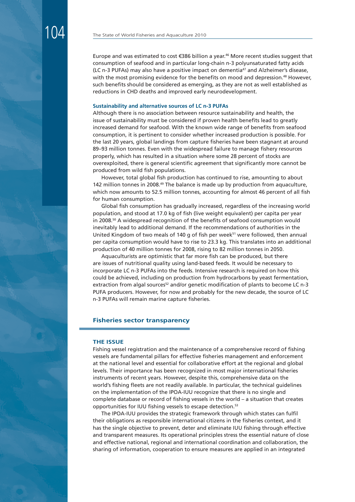Europe and was estimated to cost €386 billion a year.46 More recent studies suggest that consumption of seafood and in particular long-chain n-3 polyunsaturated fatty acids (LC n-3 PUFAs) may also have a positive impact on dementia<sup>47</sup> and Alzheimer's disease, with the most promising evidence for the benefits on mood and depression.<sup>48</sup> However, such benefits should be considered as emerging, as they are not as well established as reductions in CHD deaths and improved early neurodevelopment.

#### **Sustainability and alternative sources of LC n-3 PUFAs**

Although there is no association between resource sustainability and health, the issue of sustainability must be considered if proven health benefits lead to greatly increased demand for seafood. With the known wide range of benefits from seafood consumption, it is pertinent to consider whether increased production is possible. For the last 20 years, global landings from capture fisheries have been stagnant at around 89–93 million tonnes. Even with the widespread failure to manage fishery resources properly, which has resulted in a situation where some 28 percent of stocks are overexploited, there is general scientific agreement that significantly more cannot be produced from wild fish populations.

However, total global fish production has continued to rise, amounting to about 142 million tonnes in 2008.<sup>49</sup> The balance is made up by production from aquaculture, which now amounts to 52.5 million tonnes, accounting for almost 46 percent of all fish for human consumption.

Global fish consumption has gradually increased, regardless of the increasing world population, and stood at 17.0 kg of fish (live weight equivalent) per capita per year in 2008.50 A widespread recognition of the benefits of seafood consumption would inevitably lead to additional demand. If the recommendations of authorities in the United Kingdom of two meals of 140 g of fish per week<sup>51</sup> were followed, then annual per capita consumption would have to rise to 23.3 kg. This translates into an additional production of 40 million tonnes for 2008, rising to 82 million tonnes in 2050.

Aquaculturists are optimistic that far more fish can be produced, but there are issues of nutritional quality using land-based feeds. It would be necessary to incorporate LC n-3 PUFAs into the feeds. Intensive research is required on how this could be achieved, including on production from hydrocarbons by yeast fermentation, extraction from algal sources<sup>52</sup> and/or genetic modification of plants to become LC n-3 PUFA producers. However, for now and probably for the new decade, the source of LC n-3 PUFAs will remain marine capture fisheries.

#### **Fisheries sector transparency**

### **THE ISSUE**

Fishing vessel registration and the maintenance of a comprehensive record of fishing vessels are fundamental pillars for effective fisheries management and enforcement at the national level and essential for collaborative effort at the regional and global levels. Their importance has been recognized in most major international fisheries instruments of recent years. However, despite this, comprehensive data on the world's fishing fleets are not readily available. In particular, the technical guidelines on the implementation of the IPOA-IUU recognize that there is no single and complete database or record of fishing vessels in the world – a situation that creates opportunities for IUU fishing vessels to escape detection.53

The IPOA-IUU provides the strategic framework through which states can fulfil their obligations as responsible international citizens in the fisheries context, and it has the single objective to prevent, deter and eliminate IUU fishing through effective and transparent measures. Its operational principles stress the essential nature of close and effective national, regional and international coordination and collaboration, the sharing of information, cooperation to ensure measures are applied in an integrated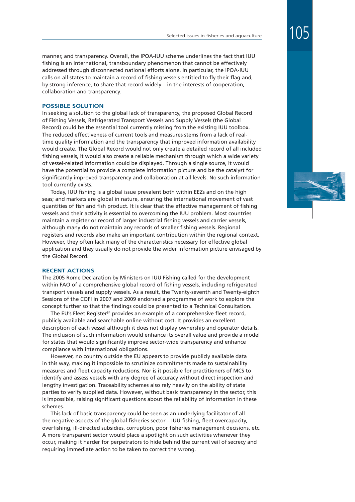manner, and transparency. Overall, the IPOA-IUU scheme underlines the fact that IUU fishing is an international, transboundary phenomenon that cannot be effectively addressed through disconnected national efforts alone. In particular, the IPOA-IUU calls on all states to maintain a record of fishing vessels entitled to fly their flag and, by strong inference, to share that record widely – in the interests of cooperation, collaboration and transparency.

#### **POSSIBLE SOLUTION**

In seeking a solution to the global lack of transparency, the proposed Global Record of Fishing Vessels, Refrigerated Transport Vessels and Supply Vessels (the Global Record) could be the essential tool currently missing from the existing IUU toolbox. The reduced effectiveness of current tools and measures stems from a lack of realtime quality information and the transparency that improved information availability would create. The Global Record would not only create a detailed record of all included fishing vessels, it would also create a reliable mechanism through which a wide variety of vessel-related information could be displayed. Through a single source, it would have the potential to provide a complete information picture and be the catalyst for significantly improved transparency and collaboration at all levels. No such information tool currently exists.

Today, IUU fishing is a global issue prevalent both within EEZs and on the high seas; and markets are global in nature, ensuring the international movement of vast quantities of fish and fish product. It is clear that the effective management of fishing vessels and their activity is essential to overcoming the IUU problem. Most countries maintain a register or record of larger industrial fishing vessels and carrier vessels, although many do not maintain any records of smaller fishing vessels. Regional registers and records also make an important contribution within the regional context. However, they often lack many of the characteristics necessary for effective global application and they usually do not provide the wider information picture envisaged by the Global Record.

#### **RECENT ACTIONS**

The 2005 Rome Declaration by Ministers on IUU Fishing called for the development within FAO of a comprehensive global record of fishing vessels, including refrigerated transport vessels and supply vessels. As a result, the Twenty-seventh and Twenty-eighth Sessions of the COFI in 2007 and 2009 endorsed a programme of work to explore the concept further so that the findings could be presented to a Technical Consultation.

The EU's Fleet Register<sup>54</sup> provides an example of a comprehensive fleet record, publicly available and searchable online without cost. It provides an excellent description of each vessel although it does not display ownership and operator details. The inclusion of such information would enhance its overall value and provide a model for states that would significantly improve sector-wide transparency and enhance compliance with international obligations.

However, no country outside the EU appears to provide publicly available data in this way, making it impossible to scrutinize commitments made to sustainability measures and fleet capacity reductions. Nor is it possible for practitioners of MCS to identify and assess vessels with any degree of accuracy without direct inspection and lengthy investigation. Traceability schemes also rely heavily on the ability of state parties to verify supplied data. However, without basic transparency in the sector, this is impossible, raising significant questions about the reliability of information in these schemes.

This lack of basic transparency could be seen as an underlying facilitator of all the negative aspects of the global fisheries sector – IUU fishing, fleet overcapacity, overfishing, ill-directed subsidies, corruption, poor fisheries management decisions, etc. A more transparent sector would place a spotlight on such activities whenever they occur, making it harder for perpetrators to hide behind the current veil of secrecy and requiring immediate action to be taken to correct the wrong.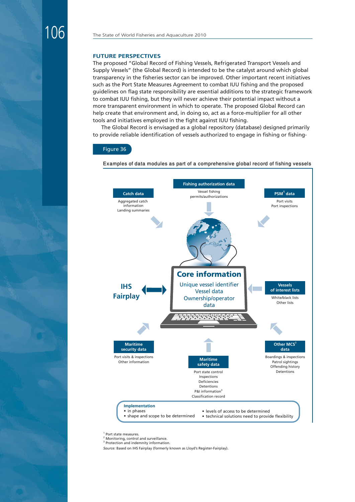# **FUTURE PERSPECTIVES**

The proposed "Global Record of Fishing Vessels, Refrigerated Transport Vessels and Supply Vessels" (the Global Record) is intended to be the catalyst around which global transparency in the fisheries sector can be improved. Other important recent initiatives such as the Port State Measures Agreement to combat IUU fishing and the proposed guidelines on flag state responsibility are essential additions to the strategic framework to combat IUU fishing, but they will never achieve their potential impact without a more transparent environment in which to operate. The proposed Global Record can help create that environment and, in doing so, act as a force-multiplier for all other tools and initiatives employed in the fight against IUU fishing.

The Global Record is envisaged as a global repository (database) designed primarily to provide reliable identification of vessels authorized to engage in fishing or fishing-

#### Figure 36





Port state measures

1

2 Monitoring, control and surveillance. <sup>3</sup> Protection and indemnity information.

*Source:* Based on IHS Fairplay (formerly known as Lloyd's Register-Fairplay).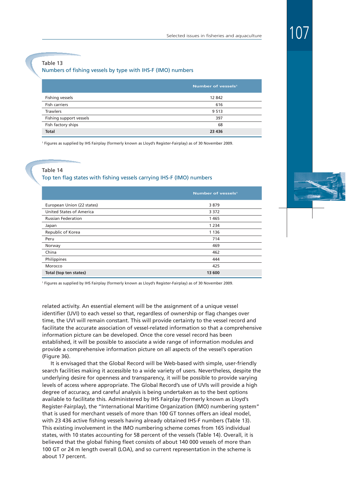# Table 13

# Numbers of fishing vessels by type with IHS-F (IMO) numbers

|                         | Number of vessels <sup>1</sup> |
|-------------------------|--------------------------------|
| Fishing vessels         | 12 842                         |
| <b>Fish carriers</b>    | 616                            |
| <b>Trawlers</b>         | 9 5 1 3                        |
| Fishing support vessels | 397                            |
| Fish factory ships      | 68                             |
| <b>Total</b>            | 23 4 36                        |
|                         |                                |

1 Figures as supplied by IHS Fairplay (formerly known as Lloyd's Register-Fairplay) as of 30 November 2009.

#### Table 14

Top ten flag states with fishing vessels carrying IHS-F (IMO) numbers

|                            | Number of vessels <sup>1</sup> |
|----------------------------|--------------------------------|
| European Union (22 states) | 3879                           |
| United States of America   | 3 3 7 2                        |
| <b>Russian Federation</b>  | 1465                           |
| Japan                      | 1 2 3 4                        |
| Republic of Korea          | 1 1 3 6                        |
| Peru                       | 714                            |
| Norway                     | 469                            |
| China                      | 462                            |
| Philippines                | 444                            |
| Morocco                    | 425                            |
| Total (top ten states)     | 13 600                         |

1 Figures as supplied by IHS Fairplay (formerly known as Lloyd's Register-Fairplay) as of 30 November 2009.

related activity. An essential element will be the assignment of a unique vessel identifier (UVI) to each vessel so that, regardless of ownership or flag changes over time, the UVI will remain constant. This will provide certainty to the vessel record and facilitate the accurate association of vessel-related information so that a comprehensive information picture can be developed. Once the core vessel record has been established, it will be possible to associate a wide range of information modules and provide a comprehensive information picture on all aspects of the vessel's operation (Figure 36).

It is envisaged that the Global Record will be Web-based with simple, user-friendly search facilities making it accessible to a wide variety of users. Nevertheless, despite the underlying desire for openness and transparency, it will be possible to provide varying levels of access where appropriate. The Global Record's use of UVIs will provide a high degree of accuracy, and careful analysis is being undertaken as to the best options available to facilitate this. Administered by IHS Fairplay (formerly known as Lloyd's Register-Fairplay), the "International Maritime Organization (IMO) numbering system" that is used for merchant vessels of more than 100 GT tonnes offers an ideal model, with 23 436 active fishing vessels having already obtained IHS-F numbers (Table 13). This existing involvement in the IMO numbering scheme comes from 165 individual states, with 10 states accounting for 58 percent of the vessels (Table 14). Overall, it is believed that the global fishing fleet consists of about 140 000 vessels of more than 100 GT or 24 m length overall (LOA), and so current representation in the scheme is about 17 percent.

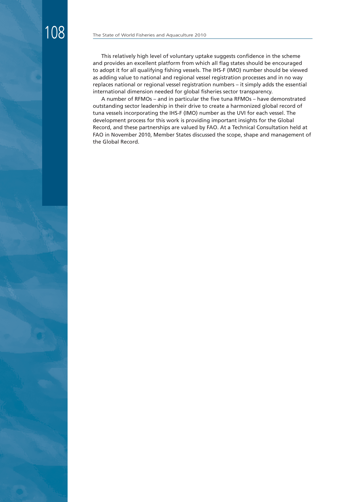This relatively high level of voluntary uptake suggests confidence in the scheme and provides an excellent platform from which all flag states should be encouraged to adopt it for all qualifying fishing vessels. The IHS-F (IMO) number should be viewed as adding value to national and regional vessel registration processes and in no way replaces national or regional vessel registration numbers – it simply adds the essential international dimension needed for global fisheries sector transparency.

A number of RFMOs – and in particular the five tuna RFMOs – have demonstrated outstanding sector leadership in their drive to create a harmonized global record of tuna vessels incorporating the IHS-F (IMO) number as the UVI for each vessel. The development process for this work is providing important insights for the Global Record, and these partnerships are valued by FAO. At a Technical Consultation held at FAO in November 2010, Member States discussed the scope, shape and management of the Global Record.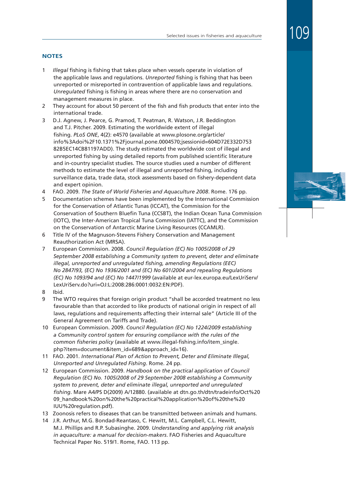# **NOTES**

- 1 *Illegal* fishing is fishing that takes place when vessels operate in violation of the applicable laws and regulations. *Unreported* fishing is fishing that has been unreported or misreported in contravention of applicable laws and regulations. *Unregulated* fishing is fishing in areas where there are no conservation and management measures in place.
- 2 They account for about 50 percent of the fish and fish products that enter into the international trade.
- 3 D.J. Agnew, J. Pearce, G. Pramod, T. Peatman, R. Watson, J.R. Beddington and T.J. Pitcher. 2009. Estimating the worldwide extent of illegal fishing. *PLoS ONE*, 4(2): e4570 (available at www.plosone.org/article/ info%3Adoi%2F10.1371%2Fjournal.pone.0004570;jsessionid=604D72E332D753 82B5EC14CB81197ADD). The study estimated the worldwide cost of illegal and unreported fishing by using detailed reports from published scientific literature and in-country specialist studies. The source studies used a number of different methods to estimate the level of illegal and unreported fishing, including surveillance data, trade data, stock assessments based on fishery-dependent data and expert opinion.
- 4 FAO. 2009. *The State of World Fisheries and Aquaculture 2008*. Rome. 176 pp.
- 5 Documentation schemes have been implemented by the International Commission for the Conservation of Atlantic Tunas (ICCAT), the Commission for the Conservation of Southern Bluefin Tuna (CCSBT), the Indian Ocean Tuna Commission (IOTC), the Inter-American Tropical Tuna Commission (IATTC), and the Commission on the Conservation of Antarctic Marine Living Resources (CCAMLR).
- 6 Title IV of the Magnuson-Stevens Fishery Conservation and Management Reauthorization Act (MRSA).
- 7 European Commission. 2008. *Council Regulation (EC) No 1005/2008 of 29 September 2008 establishing a Community system to prevent, deter and eliminate illegal, unreported and unregulated fishing, amending Regulations (EEC) No 2847/93, (EC) No 1936/2001 and (EC) No 601/2004 and repealing Regulations (EC) No 1093/94 and (EC) No 1447/1999* (available at eur-lex.europa.eu/LexUriServ/ LexUriServ.do?uri=OJ:L:2008:286:0001:0032:EN:PDF).
- 8 Ibid.
- 9 The WTO requires that foreign origin product "shall be accorded treatment no less favourable than that accorded to like products of national origin in respect of all laws, regulations and requirements affecting their internal sale" (Article III of the General Agreement on Tariffs and Trade).
- 10 European Commission. 2009. *Council Regulation (EC) No 1224/2009 establishing a Community control system for ensuring compliance with the rules of the common fisheries policy* (available at www.illegal-fishing.info/item\_single. php?item=document&item\_id=689&approach\_id=16).
- 11 FAO. 2001. *International Plan of Action to Prevent, Deter and Eliminate Illegal, Unreported and Unregulated Fishing*. Rome. 24 pp.
- 12 European Commission. 2009. *Handbook on the practical application of Council Regulation (EC) No. 1005/2008 of 29 September 2008 establishing a Community system to prevent, deter and eliminate illegal, unreported and unregulated fishing*. Mare A4/PS D(2009) A/12880. (available at dtn.go.th/dtn/tradeinfo/Oct%20 09\_handbook%20on%20the%20practical%20application%20of%20the%20 IUU%20regulation.pdf).
- 13 Zoonosis refers to diseases that can be transmitted between animals and humans.
- 14 J.R. Arthur, M.G. Bondad-Reantaso, C. Hewitt, M.L. Campbell, C.L. Hewitt, M.J. Phillips and R.P. Subasinghe. 2009. *Understanding and applying risk analysis in aquaculture: a manual for decision-makers*. FAO Fisheries and Aquaculture Technical Paper No. 519/1. Rome, FAO. 113 pp.

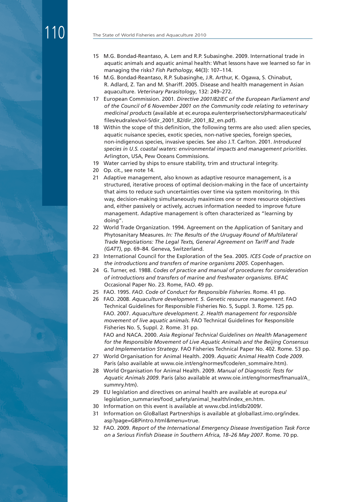#### The State of World Fisheries and Aquaculture 2010

- 15 M.G. Bondad-Reantaso, A. Lem and R.P. Subasinghe. 2009. International trade in aquatic animals and aquatic animal health: What lessons have we learned so far in managing the risks? *Fish Pathology*, 44(3): 107–114.
- 16 M.G. Bondad-Reantaso, R.P. Subasinghe, J.R. Arthur, K. Ogawa, S. Chinabut, R. Adlard, Z. Tan and M. Shariff. 2005. Disease and health management in Asian aquaculture. *Veterinary Parasitology*, 132: 249–272.
- 17 European Commission. 2001. *Directive 2001/82/EC of the European Parliament and of the Council of 6 November 2001 on the Community code relating to veterinary medicinal products* (available at ec.europa.eu/enterprise/sectors/pharmaceuticals/ files/eudralex/vol-5/dir\_2001\_82/dir\_2001\_82\_en.pdf).
- 18 Within the scope of this definition, the following terms are also used: alien species, aquatic nuisance species, exotic species, non-native species, foreign species, non-indigenous species, invasive species. See also J.T. Carlton. 2001. *Introduced species in U.S. coastal waters: environmental impacts and management priorities*. Arlington, USA, Pew Oceans Commissions.
- 19 Water carried by ships to ensure stability, trim and structural integrity.
- 20 Op. cit., see note 14.
- 21 Adaptive management, also known as adaptive resource management, is a structured, iterative process of optimal decision-making in the face of uncertainty that aims to reduce such uncertainties over time via system monitoring. In this way, decision-making simultaneously maximizes one or more resource objectives and, either passively or actively, accrues information needed to improve future management. Adaptive management is often characterized as "learning by doing".
- 22 World Trade Organization. 1994. Agreement on the Application of Sanitary and Phytosanitary Measures. *In: The Results of the Uruguay Round of Multilateral Trade Negotiations: The Legal Texts, General Agreement on Tariff and Trade (GATT)*, pp. 69–84. Geneva, Switzerland.
- 23 International Council for the Exploration of the Sea. 2005. *ICES Code of practice on the introductions and transfers of marine organisms 2005*. Copenhagen.
- 24 G. Turner, ed. 1988. *Codes of practice and manual of procedures for consideration of introductions and transfers of marine and freshwater organisms*. EIFAC Occasional Paper No. 23. Rome, FAO. 49 pp.
- 25 FAO. 1995. *FAO. Code of Conduct for Responsible Fisheries*. Rome. 41 pp.
- 26 FAO. 2008. *Aquaculture development. 5. Genetic resource management*. FAO Technical Guidelines for Responsible Fisheries No. 5, Suppl. 3. Rome. 125 pp. FAO. 2007. *Aquaculture development. 2. Health management for responsible movement of live aquatic animals*. FAO Technical Guidelines for Responsible Fisheries No. 5, Suppl. 2. Rome. 31 pp.

 FAO and NACA. 2000. *Asia Regional Technical Guidelines on Health Management for the Responsible Movement of Live Aquatic Animals and the Beijing Consensus and Implementation Strategy*. FAO Fisheries Technical Paper No. 402. Rome. 53 pp.

- 27 World Organisation for Animal Health. 2009. *Aquatic Animal Health Code 2009*. Paris (also available at www.oie.int/eng/normes/fcode/en\_sommaire.htm).
- 28 World Organisation for Animal Health. 2009. *Manual of Diagnostic Tests for Aquatic Animals 2009*. Paris (also available at www.oie.int/eng/normes/fmanual/A\_ summry.htm).
- 29 EU legislation and directives on animal health are available at europa.eu/ legislation\_summaries/food\_safety/animal\_health/index\_en.htm.
- 30 Information on this event is available at www.cbd.int/idb/2009/.
- 31 Information on GloBallast Partnerships is available at globallast.imo.org/index. asp?page=GBPintro.html&menu=true.
- 32 FAO. 2009. *Report of the International Emergency Disease Investigation Task Force on a Serious Finfish Disease in Southern Africa, 18–26 May 2007*. Rome. 70 pp.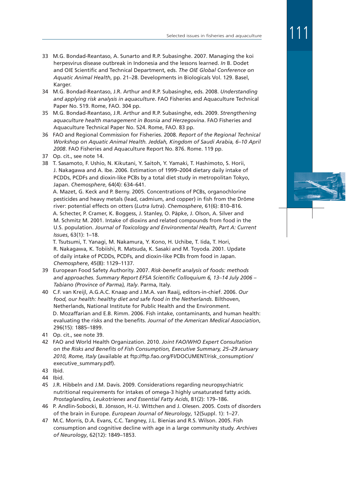- 33 M.G. Bondad-Reantaso, A. Sunarto and R.P. Subasinghe. 2007. Managing the koi herpesvirus disease outbreak in Indonesia and the lessons learned. *In* B. Dodet and OIE Scientific and Technical Department, eds. *The OIE Global Conference on Aquatic Animal Health*, pp. 21–28. Developments in Biologicals Vol. 129. Basel, Karger.
- 34 M.G. Bondad-Reantaso, J.R. Arthur and R.P. Subasinghe, eds. 2008. *Understanding and applying risk analysis in aquaculture*. FAO Fisheries and Aquaculture Technical Paper No. 519. Rome, FAO. 304 pp.
- 35 M.G. Bondad-Reantaso, J.R. Arthur and R.P. Subasinghe, eds. 2009. *Strengthening aquaculture health management in Bosnia and Herzegovina*. FAO Fisheries and Aquaculture Technical Paper No. 524. Rome, FAO. 83 pp.
- 36 FAO and Regional Commission for Fisheries. 2008. *Report of the Regional Technical Workshop on Aquatic Animal Health. Jeddah, Kingdom of Saudi Arabia, 6–10 April 2008*. FAO Fisheries and Aquaculture Report No. 876. Rome. 119 pp.
- 37 Op. cit., see note 14.
- 38 T. Sasamoto, F. Ushio, N. Kikutani, Y. Saitoh, Y. Yamaki, T. Hashimoto, S. Horii, J. Nakagawa and A. Ibe. 2006. Estimation of 1999–2004 dietary daily intake of PCDDs, PCDFs and dioxin-like PCBs by a total diet study in metropolitan Tokyo, Japan. *Chemosphere*, 64(4): 634–641.

 A. Mazet, G. Keck and P. Berny. 2005. Concentrations of PCBs, organochlorine pesticides and heavy metals (lead, cadmium, and copper) in fish from the Drôme river: potential effects on otters (*Lutra lutra*). *Chemosphere*, 61(6): 810–816. A. Schecter, P. Cramer, K. Boggess, J. Stanley, O. Päpke, J. Olson, A. Silver and M. Schmitz M. 2001. Intake of dioxins and related compounds from food in the U.S. population. *Journal of Toxicology and Environmental Health, Part A: Current Issues*, 63(1): 1–18.

 T. Tsutsumi, T. Yanagi, M. Nakamura, Y. Kono, H. Uchibe, T. Iida, T. Hori, R. Nakagawa, K. Tobiishi, R. Matsuda, K. Sasaki and M. Toyoda. 2001. Update of daily intake of PCDDs, PCDFs, and dioxin-like PCBs from food in Japan. *Chemosphere*, 45(8): 1129–1137.

- 39 European Food Safety Authority. 2007. *Risk-benefit analysis of foods: methods and approaches. Summary Report EFSA Scientific Colloquium 6, 13–14 July 2006 – Tabiano (Province of Parma), Italy*. Parma, Italy.
- 40 C.F. van Kreijl, A.G.A.C. Knaap and J.M.A. van Raaij, editors-in-chief. 2006. *Our food, our health: healthy diet and safe food in the Netherlands*. Bilthoven, Netherlands, National Institute for Public Health and the Environment. D. Mozaffarian and E.B. Rimm. 2006. Fish intake, contaminants, and human health: evaluating the risks and the benefits. *Journal of the American Medical Association*, 296(15): 1885–1899.
- 41 Op. cit., see note 39.
- 42 FAO and World Health Organization. 2010. *Joint FAO/WHO Expert Consultation on the Risks and Benefits of Fish Consumption, Executive Summary, 25–29 January 2010, Rome, Italy* (available at ftp://ftp.fao.org/FI/DOCUMENT/risk\_consumption/ executive\_summary.pdf).
- 43 Ibid.
- 44 Ibid.
- 45 J.R. Hibbeln and J.M. Davis. 2009. Considerations regarding neuropsychiatric nutritional requirements for intakes of omega-3 highly unsaturated fatty acids. *Prostaglandins, Leukotrienes and Essential Fatty Acids*, 81(2): 179–186.
- 46 P. Andlin-Sobocki, B. Jönsson, H.-U. Wittchen and J. Olesen. 2005. Costs of disorders of the brain in Europe. *European Journal of Neurology*, 12(Suppl. 1): 1–27.
- 47 M.C. Morris, D.A. Evans, C.C. Tangney, J.L. Bienias and R.S. Wilson. 2005. Fish consumption and cognitive decline with age in a large community study. *Archives of Neurology*, 62(12): 1849–1853.